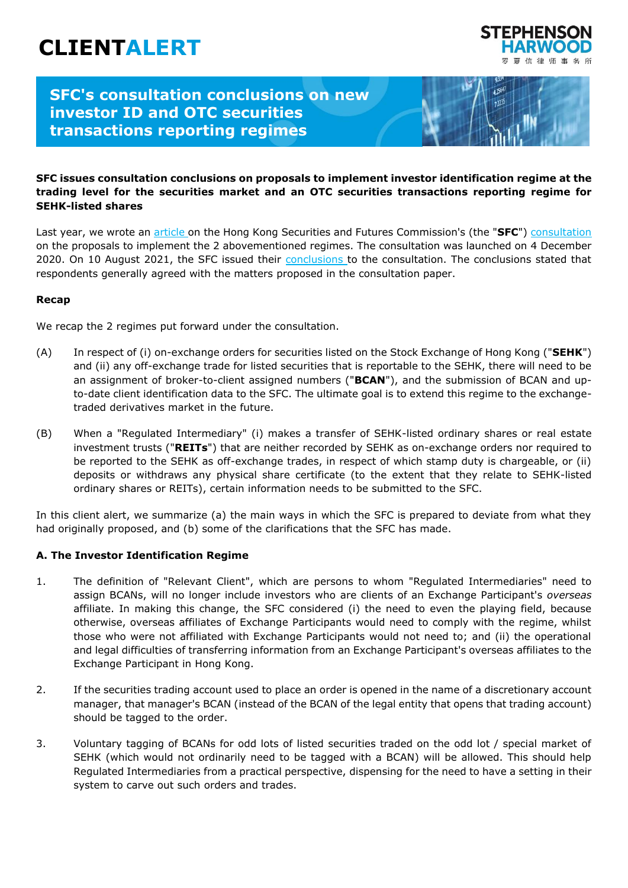# **CLIENTALERT**



 $125$ 

## **SFC's consultation conclusions on new investor ID and OTC securities transactions reporting regimes**

#### **SFC issues consultation conclusions on proposals to implement investor identification regime at the trading level for the securities market and an OTC securities transactions reporting regime for SEHK-listed shares**

Last year, we wrote an [article](https://www.shlegal.com/news/sfc-proposes-new-investor-id-regime) on the Hong Kong Securities and Futures Commission's (the "**SFC**") [consultation](https://apps.sfc.hk/edistributionWeb/api/consultation/openFile?lang=EN&refNo=20CP7) on the proposals to implement the 2 abovementioned regimes. The consultation was launched on 4 December 2020. On 10 August 2021, the SFC issued their [conclusions](https://apps.sfc.hk/edistributionWeb/api/consultation/conclusion?lang=EN&refNo=20CP7) to the consultation. The conclusions stated that respondents generally agreed with the matters proposed in the consultation paper.

#### **Recap**

We recap the 2 regimes put forward under the consultation.

- (A) In respect of (i) on-exchange orders for securities listed on the Stock Exchange of Hong Kong ("**SEHK**") and (ii) any off-exchange trade for listed securities that is reportable to the SEHK, there will need to be an assignment of broker-to-client assigned numbers ("**BCAN**"), and the submission of BCAN and upto-date client identification data to the SFC. The ultimate goal is to extend this regime to the exchangetraded derivatives market in the future.
- (B) When a "Regulated Intermediary" (i) makes a transfer of SEHK-listed ordinary shares or real estate investment trusts ("**REITs**") that are neither recorded by SEHK as on-exchange orders nor required to be reported to the SEHK as off-exchange trades, in respect of which stamp duty is chargeable, or (ii) deposits or withdraws any physical share certificate (to the extent that they relate to SEHK-listed ordinary shares or REITs), certain information needs to be submitted to the SFC.

In this client alert, we summarize (a) the main ways in which the SFC is prepared to deviate from what they had originally proposed, and (b) some of the clarifications that the SFC has made.

#### **A. The Investor Identification Regime**

- 1. The definition of "Relevant Client", which are persons to whom "Regulated Intermediaries" need to assign BCANs, will no longer include investors who are clients of an Exchange Participant's *overseas* affiliate. In making this change, the SFC considered (i) the need to even the playing field, because otherwise, overseas affiliates of Exchange Participants would need to comply with the regime, whilst those who were not affiliated with Exchange Participants would not need to; and (ii) the operational and legal difficulties of transferring information from an Exchange Participant's overseas affiliates to the Exchange Participant in Hong Kong.
- 2. If the securities trading account used to place an order is opened in the name of a discretionary account manager, that manager's BCAN (instead of the BCAN of the legal entity that opens that trading account) should be tagged to the order.
- 3. Voluntary tagging of BCANs for odd lots of listed securities traded on the odd lot / special market of SEHK (which would not ordinarily need to be tagged with a BCAN) will be allowed. This should help Regulated Intermediaries from a practical perspective, dispensing for the need to have a setting in their system to carve out such orders and trades.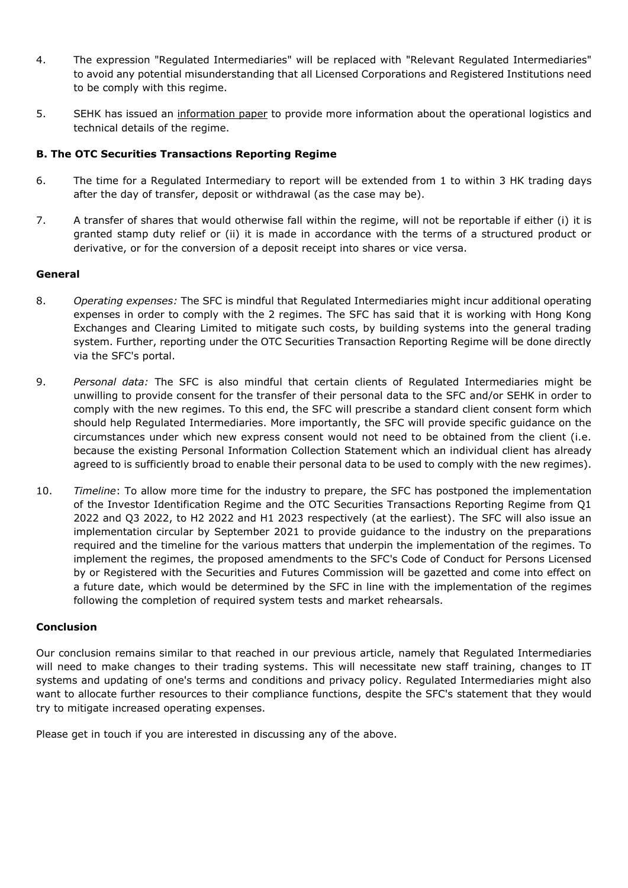- 4. The expression "Regulated Intermediaries" will be replaced with "Relevant Regulated Intermediaries" to avoid any potential misunderstanding that all Licensed Corporations and Registered Institutions need to be comply with this regime.
- 5. SEHK has [issued](https://www.hkex.com.hk/-/media/HKEX-Market/Services/Circulars-and-Notices/Participant-and-Members-Circulars/SEHK/2021/CT11221E.pdf) an [information paper](https://www.hkex.com.hk/-/media/HKEX-Market/Services/Trading/Securities/Overview/Trading-Mechanism/HKIDR/HKIDR-Information-Paper_e.pdf?la=en) to provide more information about the operational logistics and technical details of the regime.

#### **B. The OTC Securities Transactions Reporting Regime**

- 6. The time for a Regulated Intermediary to report will be extended from 1 to within 3 HK trading days after the day of transfer, deposit or withdrawal (as the case may be).
- 7. A transfer of shares that would otherwise fall within the regime, will not be reportable if either (i) it is granted stamp duty relief or (ii) it is made in accordance with the terms of a structured product or derivative, or for the conversion of a deposit receipt into shares or vice versa.

#### **General**

- 8. *Operating expenses:* The SFC is mindful that Regulated Intermediaries might incur additional operating expenses in order to comply with the 2 regimes. The SFC has said that it is working with Hong Kong Exchanges and Clearing Limited to mitigate such costs, by building systems into the general trading system. Further, reporting under the OTC Securities Transaction Reporting Regime will be done directly via the SFC's portal.
- 9. *Personal data:* The SFC is also mindful that certain clients of Regulated Intermediaries might be unwilling to provide consent for the transfer of their personal data to the SFC and/or SEHK in order to comply with the new regimes. To this end, the SFC will prescribe a standard client consent form which should help Regulated Intermediaries. More importantly, the SFC will provide specific guidance on the circumstances under which new express consent would not need to be obtained from the client (i.e. because the existing Personal Information Collection Statement which an individual client has already agreed to is sufficiently broad to enable their personal data to be used to comply with the new regimes).
- 10. *Timeline*: To allow more time for the industry to prepare, the SFC has postponed the implementation of the Investor Identification Regime and the OTC Securities Transactions Reporting Regime from Q1 2022 and Q3 2022, to H2 2022 and H1 2023 respectively (at the earliest). The SFC will also issue an implementation circular by September 2021 to provide guidance to the industry on the preparations required and the timeline for the various matters that underpin the implementation of the regimes. To implement the regimes, the proposed amendments to the SFC's Code of Conduct for Persons Licensed by or Registered with the Securities and Futures Commission will be gazetted and come into effect on a future date, which would be determined by the SFC in line with the implementation of the regimes following the completion of required system tests and market rehearsals.

#### **Conclusion**

Our conclusion remains similar to that reached in our previous article, namely that Regulated Intermediaries will need to make changes to their trading systems. This will necessitate new staff training, changes to IT systems and updating of one's terms and conditions and privacy policy. Regulated Intermediaries might also want to allocate further resources to their compliance functions, despite the SFC's statement that they would try to mitigate increased operating expenses.

Please get in touch if you are interested in discussing any of the above.